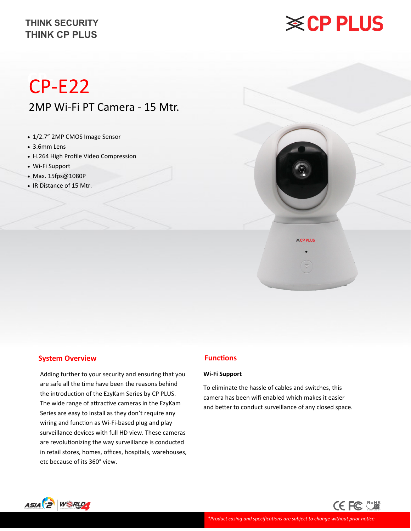# **※CP PLUS**

## **CP-** CP-E22 2MP Wi-Fi PT Camera - 15 Mtr.

- 1/2.7" 2MP CMOS Image Sensor
- 3.6mm Lens
- H.264 High Profile Video Compression
- Wi-Fi Support
- Max. 15fps@1080P
- IR Distance of 15 Mtr.



**≪CP PLUS** 

#### **System Overview**

Adding further to your security and ensuring that you are safe all the time have been the reasons behind the introduction of the EzyKam Series by CP PLUS. The wide range of attractive cameras in the EzyKam Series are easy to install as they don't require any wiring and function as Wi-Fi-based plug and play surveillance devices with full HD view. These cameras are revolutionizing the way surveillance is conducted in retail stores, homes, offices, hospitals, warehouses, etc because of its 360° view.

#### **Functions**

#### **Wi-Fi Support**

To eliminate the hassle of cables and switches, this camera has been wifi enabled which makes it easier and better to conduct surveillance of any closed space.

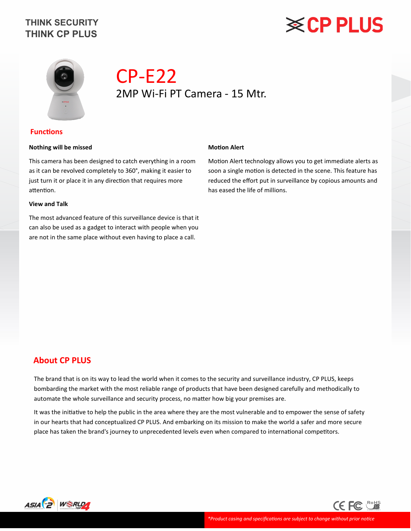# **※CP PLUS**



## CP-E22 2MP Wi-Fi PT Camera - 15 Mtr.

#### **Functions**

#### **Nothing will be missed**

This camera has been designed to catch everything in a room as it can be revolved completely to 360°, making it easier to just turn it or place it in any direction that requires more attention.

#### **View and Talk**

The most advanced feature of this surveillance device is that it can also be used as a gadget to interact with people when you are not in the same place without even having to place a call.

#### **Motion Alert**

Motion Alert technology allows you to get immediate alerts as soon a single motion is detected in the scene. This feature has reduced the effort put in surveillance by copious amounts and has eased the life of millions.

#### **About CP PLUS**

The brand that is on its way to lead the world when it comes to the security and surveillance industry, CP PLUS, keeps bombarding the market with the most reliable range of products that have been designed carefully and methodically to automate the whole surveillance and security process, no matter how big your premises are.

It was the initiative to help the public in the area where they are the most vulnerable and to empower the sense of safety in our hearts that had conceptualized CP PLUS. And embarking on its mission to make the world a safer and more secure place has taken the brand's journey to unprecedented levels even when compared to international competitors.



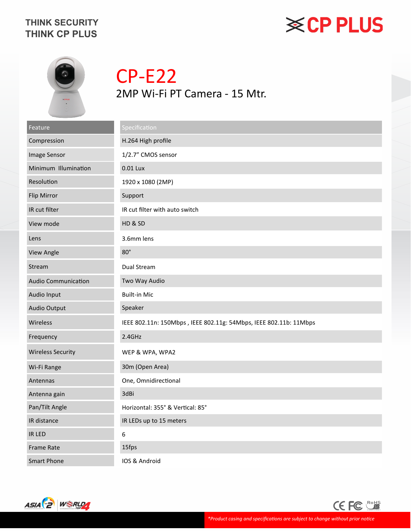# **※CP PLUS**



CP-E22 2MP Wi-Fi PT Camera - 15 Mtr.

| Feature                    | Specification                                                     |
|----------------------------|-------------------------------------------------------------------|
| Compression                | H.264 High profile                                                |
| Image Sensor               | 1/2.7" CMOS sensor                                                |
| Minimum Illumination       | 0.01 Lux                                                          |
| Resolution                 | 1920 x 1080 (2MP)                                                 |
| Flip Mirror                | Support                                                           |
| IR cut filter              | IR cut filter with auto switch                                    |
| View mode                  | HD & SD                                                           |
| Lens                       | 3.6mm lens                                                        |
| View Angle                 | $80^\circ$                                                        |
| Stream                     | Dual Stream                                                       |
| <b>Audio Communication</b> | Two Way Audio                                                     |
| Audio Input                | <b>Built-in Mic</b>                                               |
| Audio Output               | Speaker                                                           |
| Wireless                   | IEEE 802.11n: 150Mbps, IEEE 802.11g: 54Mbps, IEEE 802.11b: 11Mbps |
| Frequency                  | 2.4GHz                                                            |
| <b>Wireless Security</b>   | WEP & WPA, WPA2                                                   |
| Wi-Fi Range                | 30m (Open Area)                                                   |
| Antennas                   | One, Omnidirectional                                              |
| Antenna gain               | 3dBi                                                              |
| Pan/Tilt Angle             | Horizontal: 355° & Vertical: 85°                                  |
| IR distance                | IR LEDs up to 15 meters                                           |
| IR LED                     | 6                                                                 |
| <b>Frame Rate</b>          | 15fps                                                             |
| <b>Smart Phone</b>         | IOS & Android                                                     |